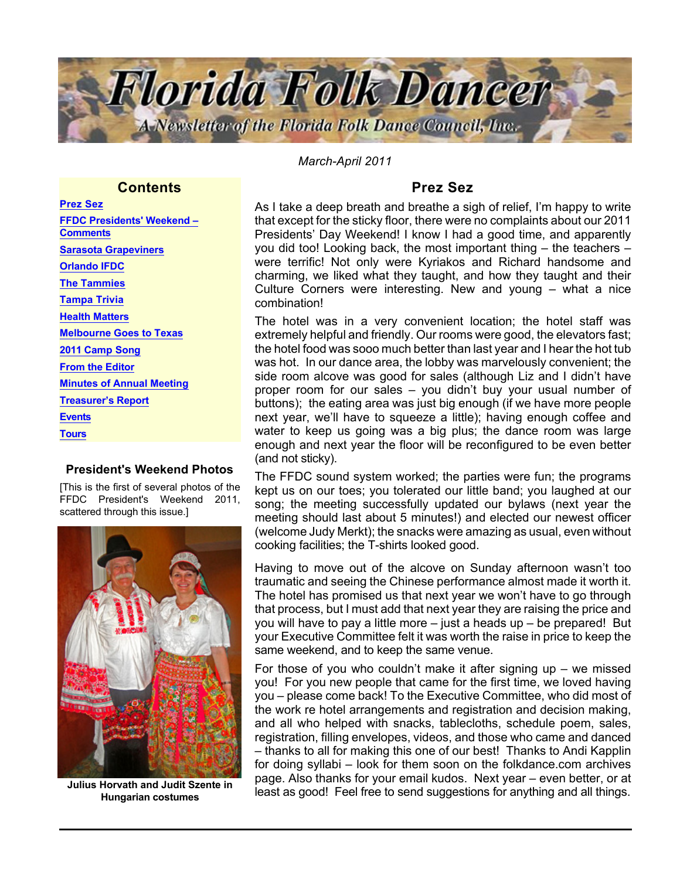

*March-April 2011*

## **Contents**

Prez Sez [FFDC Presidents' Weekend –](#page-1-0) **[Comments](#page-1-0)** [Sarasota Grapeviners](#page-2-0) [Orlando IFDC](#page-3-0) [The Tammies](#page-4-0) [Tampa Trivia](#page-4-0) [Health Matters](#page-4-0) [Melbourne Goes to Texas](#page-5-0) [2011 Camp](#page-5-0) Song [From the Editor](#page-6-0) [Minutes of Annual Meeting](#page-7-0) [Treasurer's Report](#page-8-0) **[Events](#page-8-0) [Tours](#page-9-0)** 

## President's Weekend Photos

[This is the first of several photos of the FFDC President's Weekend 2011, scattered through this issue.]



Hungarian costumes

## Prez Sez

As I take a deep breath and breathe a sigh of relief, I'm happy to write that except for the sticky floor, there were no complaints about our 2011 Presidents' Day Weekend! I know I had a good time, and apparently you did too! Looking back, the most important thing – the teachers – were terrific! Not only were Kyriakos and Richard handsome and charming, we liked what they taught, and how they taught and their Culture Corners were interesting. New and young – what a nice combination!

The hotel was in a very convenient location; the hotel staff was extremely helpful and friendly. Our rooms were good, the elevators fast; the hotel food was sooo much better than last year and I hear the hot tub was hot. In our dance area, the lobby was marvelously convenient; the side room alcove was good for sales (although Liz and I didn't have proper room for our sales – you didn't buy your usual number of buttons); the eating area was just big enough (if we have more people next year, we'll have to squeeze a little); having enough coffee and water to keep us going was a big plus; the dance room was large enough and next year the floor will be reconfigured to be even better (and not sticky).

The FFDC sound system worked; the parties were fun; the programs kept us on our toes; you tolerated our little band; you laughed at our song; the meeting successfully updated our bylaws (next year the meeting should last about 5 minutes!) and elected our newest officer (welcome Judy Merkt); the snacks were amazing as usual, even without cooking facilities; the T-shirts looked good.

Having to move out of the alcove on Sunday afternoon wasn't too traumatic and seeing the Chinese performance almost made it worth it. The hotel has promised us that next year we won't have to go through that process, but I must add that next year they are raising the price and you will have to pay a little more – just a heads up – be prepared! But your Executive Committee felt it was worth the raise in price to keep the same weekend, and to keep the same venue.

For those of you who couldn't make it after signing up  $-$  we missed you! For you new people that came for the first time, we loved having you – please come back! To the Executive Committee, who did most of the work re hotel arrangements and registration and decision making, and all who helped with snacks, tablecloths, schedule poem, sales, registration, filling envelopes, videos, and those who came and danced – thanks to all for making this one of our best! Thanks to Andi Kapplin for doing syllabi – look for them soon on the folkdance.com archives page. Also thanks for your email kudos. Next year – even better, or at Julius Horvath and Judit Szente in page. Also thanks for your email Rudos. Thext year – even better, or at least as good! Feel free to send suggestions for anything and all things.